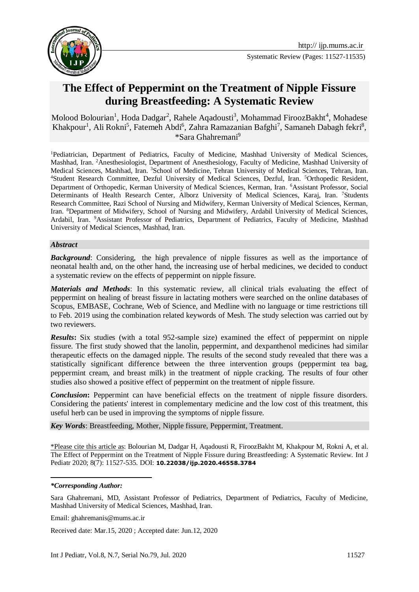

# **The Effect of Peppermint on the Treatment of Nipple Fissure during Breastfeeding: A Systematic Review**

Molood Bolourian<sup>1</sup>, Hoda Dadgar<sup>2</sup>, Rahele Aqadousti<sup>3</sup>, Mohammad FiroozBakht<sup>4</sup>, Mohadese Khakpour<sup>1</sup>, Ali Rokni<sup>5</sup>, Fatemeh Abdi<sup>6</sup>, Zahra Ramazanian Bafghi<sup>7</sup>, Samaneh Dabagh fekri<sup>8</sup>, \*Sara Ghahremani<sup>9</sup>

<sup>1</sup>Pediatrician, Department of Pediatrics, Faculty of Medicine, Mashhad University of Medical Sciences, Mashhad, Iran. <sup>2</sup>Anesthesiologist, Department of Anesthesiology, Faculty of Medicine, Mashhad University of Medical Sciences, Mashhad, Iran. <sup>3</sup>School of Medicine, Tehran University of Medical Sciences, Tehran, Iran. <sup>4</sup>Student Research Committee, Dezful University of Medical Sciences, Dezful, Iran. <sup>5</sup>Orthopedic Resident, Department of Orthopedic, Kerman University of Medical Sciences, Kerman, Iran. <sup>6</sup>Assistant Professor, Social Determinants of Health Research Center, Alborz University of Medical Sciences, Karaj, Iran. 7Students Research Committee, Razi School of Nursing and Midwifery, Kerman University of Medical Sciences, Kerman, Iran. <sup>8</sup>Department of Midwifery, School of Nursing and Midwifery, Ardabil University of Medical Sciences, Ardabil, Iran. <sup>9</sup>Assistant Professor of Pediatrics, Department of Pediatrics, Faculty of Medicine, Mashhad University of Medical Sciences, Mashhad, Iran.

#### *Abstract*

**Background:** Considering, the high prevalence of nipple fissures as well as the importance of neonatal health and, on the other hand, the increasing use of herbal medicines, we decided to conduct a systematic review on the effects of peppermint on nipple fissure.

*Materials and Methods*: In this systematic review, all clinical trials evaluating the effect of peppermint on healing of breast fissure in lactating mothers were searched on the online databases of Scopus, EMBASE, Cochrane, Web of Science, and Medline with no language or time restrictions till to Feb. 2019 using the combination related keywords of Mesh. The study selection was carried out by two reviewers.

**Results:** Six studies (with a total 952-sample size) examined the effect of peppermint on nipple fissure. The first study showed that the lanolin, peppermint, and dexpanthenol medicines had similar therapeutic effects on the damaged nipple. The results of the second study revealed that there was a statistically significant difference between the three intervention groups (peppermint tea bag, peppermint cream, and breast milk) in the treatment of nipple cracking. The results of four other studies also showed a positive effect of peppermint on the treatment of nipple fissure.

*Conclusion*: Peppermint can have beneficial effects on the treatment of nipple fissure disorders. Considering the patients' interest in complementary medicine and the low cost of this treatment, this useful herb can be used in improving the symptoms of nipple fissure.

*Key Words*: Breastfeeding, Mother, Nipple fissure, Peppermint, Treatment.

\*Please cite this article as: Bolourian M, Dadgar H, Aqadousti R, FiroozBakht M, Khakpour M, Rokni A, et al. The Effect of Peppermint on the Treatment of Nipple Fissure during Breastfeeding: A Systematic Review. Int J Pediatr 2020; 8(7): 11527-535. DOI: **10.22038/ijp.2020.46558.3784**

#### *\*Corresponding Author:*

1

Sara Ghahremani, MD, Assistant Professor of Pediatrics, Department of Pediatrics, Faculty of Medicine, Mashhad University of Medical Sciences, Mashhad, Iran.

Email: ghahremanis@mums.ac.ir

Received date: Mar.15, 2020 ; Accepted date: Jun.12, 2020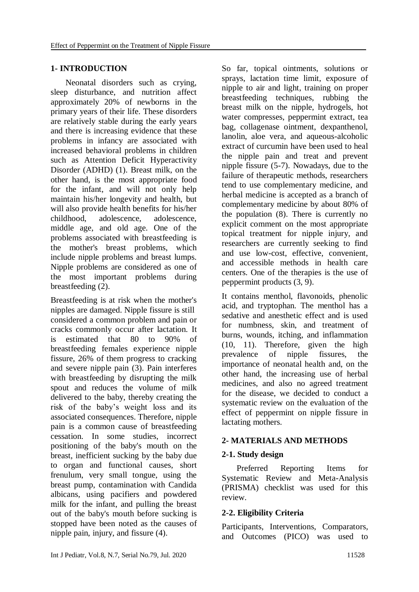### **1- INTRODUCTION**

 Neonatal disorders such as crying, sleep disturbance, and nutrition affect approximately 20% of newborns in the primary years of their life. These disorders are relatively stable during the early years and there is increasing evidence that these problems in infancy are associated with increased behavioral problems in children such as Attention Deficit Hyperactivity Disorder (ADHD) (1). Breast milk, on the other hand, is the most appropriate food for the infant, and will not only help maintain his/her longevity and health, but will also provide health benefits for his/her childhood, adolescence, adolescence, middle age, and old age. One of the problems associated with breastfeeding is the mother's breast problems, which include nipple problems and breast lumps. Nipple problems are considered as one of the most important problems during breastfeeding (2).

Breastfeeding is at risk when the mother's nipples are damaged. Nipple fissure is still considered a common problem and pain or cracks commonly occur after lactation. It is estimated that 80 to 90% of breastfeeding females experience nipple fissure, 26% of them progress to cracking and severe nipple pain (3). Pain interferes with breastfeeding by disrupting the milk spout and reduces the volume of milk delivered to the baby, thereby creating the risk of the baby's weight loss and its associated consequences. Therefore, nipple pain is a common cause of breastfeeding cessation. In some studies, incorrect positioning of the baby's mouth on the breast, inefficient sucking by the baby due to organ and functional causes, short frenulum, very small tongue, using the breast pump, contamination with Candida albicans, using pacifiers and powdered milk for the infant, and pulling the breast out of the baby's mouth before sucking is stopped have been noted as the causes of nipple pain, injury, and fissure (4).

So far, topical ointments, solutions or sprays, lactation time limit, exposure of nipple to air and light, training on proper breastfeeding techniques, rubbing the breast milk on the nipple, hydrogels, hot water compresses, peppermint extract, tea bag, collagenase ointment, dexpanthenol, lanolin, aloe vera, and aqueous-alcoholic extract of curcumin have been used to heal the nipple pain and treat and prevent nipple fissure (5-7). Nowadays, due to the failure of therapeutic methods, researchers tend to use complementary medicine, and herbal medicine is accepted as a branch of complementary medicine by about 80% of the population (8). There is currently no explicit comment on the most appropriate topical treatment for nipple injury, and researchers are currently seeking to find and use low-cost, effective, convenient, and accessible methods in health care centers. One of the therapies is the use of peppermint products (3, 9).

It contains menthol, flavonoids, phenolic acid, and tryptophan. The menthol has a sedative and anesthetic effect and is used for numbness, skin, and treatment of burns, wounds, itching, and inflammation (10, 11). Therefore, given the high prevalence of nipple fissures, the importance of neonatal health and, on the other hand, the increasing use of herbal medicines, and also no agreed treatment for the disease, we decided to conduct a systematic review on the evaluation of the effect of peppermint on nipple fissure in lactating mothers.

### **2- MATERIALS AND METHODS**

# **2-1. Study design**

 Preferred Reporting Items for Systematic Review and Meta-Analysis (PRISMA) checklist was used for this review.

# **2-2. Eligibility Criteria**

Participants, Interventions, Comparators, and Outcomes (PICO) was used to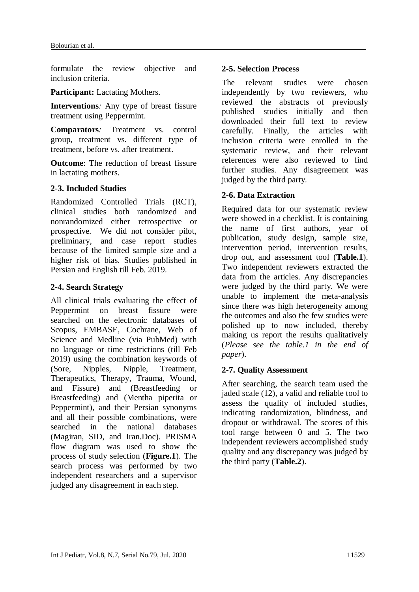formulate the review objective and inclusion criteria.

**Participant:** Lactating Mothers.

**Interventions***:* Any type of breast fissure treatment using Peppermint.

**Comparators***:* Treatment vs. control group, treatment vs. different type of treatment, before vs. after treatment.

**Outcome**: The reduction of breast fissure in lactating mothers.

#### **2-3. Included Studies**

Randomized Controlled Trials (RCT), clinical studies both randomized and nonrandomized either retrospective or prospective. We did not consider pilot, preliminary, and case report studies because of the limited sample size and a higher risk of bias. Studies published in Persian and English till Feb. 2019.

#### **2-4. Search Strategy**

All clinical trials evaluating the effect of Peppermint on breast fissure were searched on the electronic databases of Scopus, EMBASE, Cochrane, Web of Science and Medline (via PubMed) with no language or time restrictions (till Feb 2019) using the combination keywords of (Sore, Nipples, Nipple, Treatment, Therapeutics, Therapy, Trauma, Wound, and Fissure) and (Breastfeeding or Breastfeeding) and (Mentha piperita or Peppermint), and their Persian synonyms and all their possible combinations, were searched in the national databases (Magiran, SID, and Iran.Doc). PRISMA flow diagram was used to show the process of study selection (**Figure.1**). The search process was performed by two independent researchers and a supervisor judged any disagreement in each step.

#### **2-5. Selection Process**

The relevant studies were chosen independently by two reviewers, who reviewed the abstracts of previously published studies initially and then downloaded their full text to review carefully. Finally, the articles with inclusion criteria were enrolled in the systematic review, and their relevant references were also reviewed to find further studies. Any disagreement was judged by the third party.

### **2-6. Data Extraction**

Required data for our systematic review were showed in a checklist. It is containing the name of first authors, year of publication, study design, sample size, intervention period, intervention results, drop out, and assessment tool (**Table.1**). Two independent reviewers extracted the data from the articles. Any discrepancies were judged by the third party. We were unable to implement the meta-analysis since there was high heterogeneity among the outcomes and also the few studies were polished up to now included, thereby making us report the results qualitatively (*Please see the table.1 in the end of paper*).

#### **2-7. Quality Assessment**

After searching, the search team used the jaded scale (12), a valid and reliable tool to assess the quality of included studies, indicating randomization, blindness, and dropout or withdrawal. The scores of this tool range between 0 and 5. The two independent reviewers accomplished study quality and any discrepancy was judged by the third party (**Table.2**).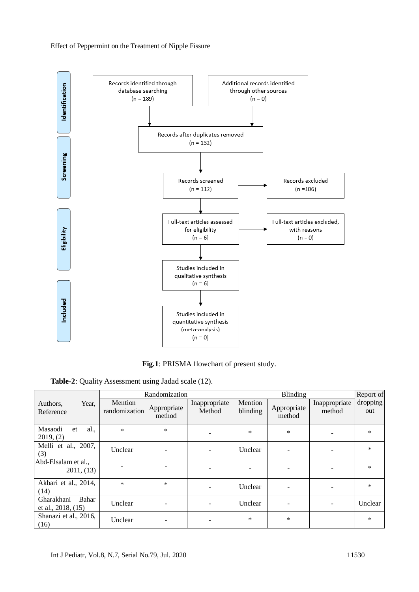

**Fig.1**: PRISMA flowchart of present study.

**Table-2**: Quality Assessment using Jadad scale (12).

|                                                |                          | Randomization         |                         |                     | Report of             |                         |                 |
|------------------------------------------------|--------------------------|-----------------------|-------------------------|---------------------|-----------------------|-------------------------|-----------------|
| Year,<br>Authors,<br>Reference                 | Mention<br>randomization | Appropriate<br>method | Inappropriate<br>Method | Mention<br>blinding | Appropriate<br>method | Inappropriate<br>method | dropping<br>out |
| al.,<br>Masaodi<br>et<br>2019, (2)             | $\ast$                   | $\ast$                |                         | $\ast$              | $\ast$                |                         | $\ast$          |
| Melli et al., 2007,<br>(3)                     | Unclear                  |                       |                         | Unclear             |                       |                         | $\ast$          |
| Abd-Elsalam et al.,<br>2011, (13)              |                          |                       |                         |                     |                       |                         | $\ast$          |
| Akbari et al., 2014,<br>(14)                   | $\ast$                   | $\ast$                |                         | Unclear             |                       |                         | $\ast$          |
| Gharakhani<br>Bahar<br>et al., $2018$ , $(15)$ | Unclear                  |                       | ۰                       | Unclear             |                       | Ξ.                      | Unclear         |
| Shanazi et al., 2016,<br>(16)                  | Unclear                  |                       |                         | $\ast$              | $\ast$                |                         | $\ast$          |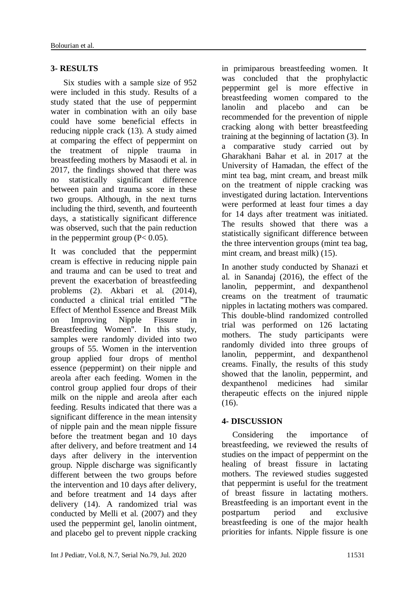#### **3- RESULTS**

 Six studies with a sample size of 952 were included in this study. Results of a study stated that the use of peppermint water in combination with an oily base could have some beneficial effects in reducing nipple crack (13). A study aimed at comparing the effect of peppermint on the treatment of nipple trauma in breastfeeding mothers by Masaodi et al. in 2017, the findings showed that there was no statistically significant difference between pain and trauma score in these two groups. Although, in the next turns including the third, seventh, and fourteenth days, a statistically significant difference was observed, such that the pain reduction in the peppermint group  $(P< 0.05)$ .

It was concluded that the peppermint cream is effective in reducing nipple pain and trauma and can be used to treat and prevent the exacerbation of breastfeeding problems (2). Akbari et al. (2014), conducted a clinical trial entitled "The Effect of Menthol Essence and Breast Milk on Improving Nipple Fissure in Breastfeeding Women". In this study, samples were randomly divided into two groups of 55. Women in the intervention group applied four drops of menthol essence (peppermint) on their nipple and areola after each feeding. Women in the control group applied four drops of their milk on the nipple and areola after each feeding. Results indicated that there was a significant difference in the mean intensity of nipple pain and the mean nipple fissure before the treatment began and 10 days after delivery, and before treatment and 14 days after delivery in the intervention group. Nipple discharge was significantly different between the two groups before the intervention and 10 days after delivery, and before treatment and 14 days after delivery (14). A randomized trial was conducted by Melli et al. (2007) and they used the peppermint gel, lanolin ointment, and placebo gel to prevent nipple cracking in primiparous breastfeeding women. It was concluded that the prophylactic peppermint gel is more effective in breastfeeding women compared to the lanolin and placebo and can be recommended for the prevention of nipple cracking along with better breastfeeding training at the beginning of lactation (3). In a comparative study carried out by Gharakhani Bahar et al. in 2017 at the University of Hamadan, the effect of the mint tea bag, mint cream, and breast milk on the treatment of nipple cracking was investigated during lactation. Interventions were performed at least four times a day for 14 days after treatment was initiated. The results showed that there was a statistically significant difference between the three intervention groups (mint tea bag, mint cream, and breast milk) (15).

In another study conducted by Shanazi et al. in Sanandaj (2016), the effect of the lanolin, peppermint, and dexpanthenol creams on the treatment of traumatic nipples in lactating mothers was compared. This double-blind randomized controlled trial was performed on 126 lactating mothers. The study participants were randomly divided into three groups of lanolin, peppermint, and dexpanthenol creams. Finally, the results of this study showed that the lanolin, peppermint, and dexpanthenol medicines had similar therapeutic effects on the injured nipple  $(16)$ .

### **4- DISCUSSION**

 Considering the importance of breastfeeding, we reviewed the results of studies on the impact of peppermint on the healing of breast fissure in lactating mothers. The reviewed studies suggested that peppermint is useful for the treatment of breast fissure in lactating mothers. Breastfeeding is an important event in the postpartum period and exclusive breastfeeding is one of the major health priorities for infants. Nipple fissure is one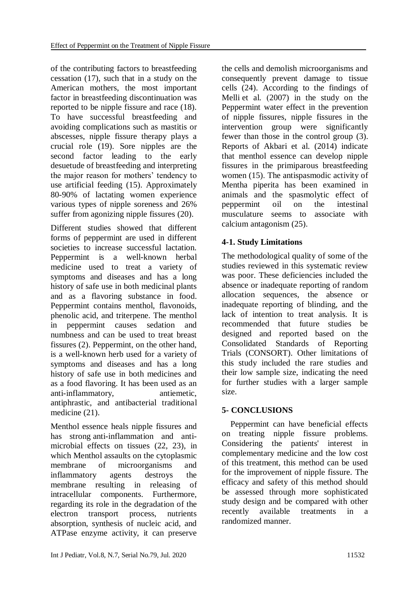of the contributing factors to breastfeeding cessation (17), such that in a study on the American mothers, the most important factor in breastfeeding discontinuation was reported to be nipple fissure and race (18). To have successful breastfeeding and avoiding complications such as mastitis or abscesses, nipple fissure therapy plays a crucial role (19). Sore nipples are the second factor leading to the early desuetude of breastfeeding and interpreting the major reason for mothers' tendency to use artificial feeding (15). Approximately 80-90% of lactating women experience various types of nipple soreness and 26% suffer from agonizing nipple fissures (20).

Different studies showed that different forms of peppermint are used in different societies to increase successful lactation. Peppermint is a well-known herbal medicine used to treat a variety of symptoms and diseases and has a long history of safe use in both medicinal plants and as a flavoring substance in food. Peppermint contains menthol, flavonoids, phenolic acid, and triterpene. The menthol in peppermint causes sedation and numbness and can be used to treat breast fissures (2). Peppermint, on the other hand, is a well-known herb used for a variety of symptoms and diseases and has a long history of safe use in both medicines and as a food flavoring. It has been used as an anti-inflammatory, antiemetic, antiphrastic, and antibacterial traditional medicine (21).

Menthol essence heals nipple fissures and has strong anti-inflammation and antimicrobial effects on tissues (22, 23), in which Menthol assaults on the cytoplasmic membrane of microorganisms and inflammatory agents destroys the membrane resulting in releasing of intracellular components. Furthermore, regarding its role in the degradation of the electron transport process, nutrients absorption, synthesis of nucleic acid, and ATPase enzyme activity, it can preserve

the cells and demolish microorganisms and consequently prevent damage to tissue cells (24). According to the findings of Melli et al.  $(2007)$  in the study on the Peppermint water effect in the prevention of nipple fissures, nipple fissures in the intervention group were significantly fewer than those in the control group (3). Reports of Akbari et al. (2014) indicate that menthol essence can develop nipple fissures in the primiparous breastfeeding women (15). The antispasmodic activity of Mentha piperita has been examined in animals and the spasmolytic effect of peppermint oil on the intestinal musculature seems to associate with calcium antagonism (25).

# **4-1. Study Limitations**

The methodological quality of some of the studies reviewed in this systematic review was poor. These deficiencies included the absence or inadequate reporting of random allocation sequences, the absence or inadequate reporting of blinding, and the lack of intention to treat analysis. It is recommended that future studies be designed and reported based on the Consolidated Standards of Reporting Trials (CONSORT). Other limitations of this study included the rare studies and their low sample size, indicating the need for further studies with a larger sample size.

# **5- CONCLUSIONS**

 Peppermint can have beneficial effects on treating nipple fissure problems. Considering the patients' interest in complementary medicine and the low cost of this treatment, this method can be used for the improvement of nipple fissure. The efficacy and safety of this method should be assessed through more sophisticated study design and be compared with other recently available treatments in a randomized manner.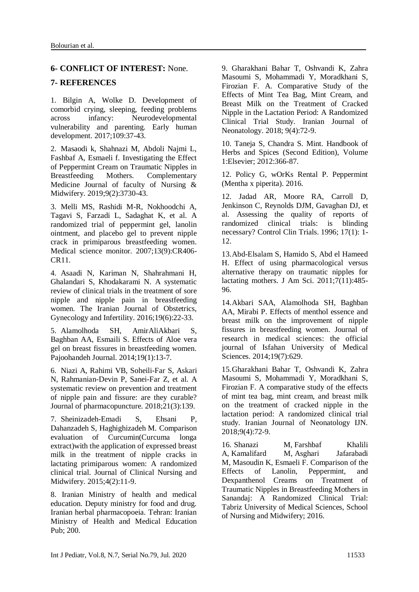#### **6- CONFLICT OF INTEREST:** None.

#### **7- REFERENCES**

1. Bilgin A, Wolke D. Development of comorbid crying, sleeping, feeding problems across infancy: Neurodevelopmental vulnerability and parenting. Early human development. 2017;109:37-43.

2. Masaodi k, Shahnazi M, Abdoli Najmi L, Fashbaf A, Esmaeli f. Investigating the Effect of Peppermint Cream on Traumatic Nipples in Breastfeeding Mothers. Complementary Medicine Journal of faculty of Nursing & Midwifery. 2019;9(2):3730-43.

3. Melli MS, Rashidi M-R, Nokhoodchi A, Tagavi S, Farzadi L, Sadaghat K, et al. A randomized trial of peppermint gel, lanolin ointment, and placebo gel to prevent nipple crack in primiparous breastfeeding women. Medical science monitor. 2007;13(9):CR406- CR11.

4. Asaadi N, Kariman N, Shahrahmani H, Ghalandari S, Khodakarami N. A systematic review of clinical trials in the treatment of sore nipple and nipple pain in breastfeeding women. The Iranian Journal of Obstetrics, Gynecology and Infertility. 2016;19(6):22-33.

5. Alamolhoda SH, AmirAliAkbari S, Baghban AA, Esmaili S. Effects of Aloe vera gel on breast fissures in breastfeeding women. Pajoohandeh Journal. 2014;19(1):13-7.

6. Niazi A, Rahimi VB, Soheili-Far S, Askari N, Rahmanian-Devin P, Sanei-Far Z, et al. A systematic review on prevention and treatment of nipple pain and fissure: are they curable? Journal of pharmacopuncture. 2018;21(3):139.

7. Sheinizadeh-Emadi S, Ehsani P, Dahanzadeh S, Haghighizadeh M. Comparison evaluation of Curcumin(Curcuma longa extract)with the application of expressed breast milk in the treatment of nipple cracks in lactating primiparous women: A randomized clinical trial. Journal of Clinical Nursing and Midwifery. 2015;4(2):11-9.

8. Iranian Ministry of health and medical education. Deputy ministry for food and drug. Iranian herbal pharmacopoeia. Tehran: Iranian Ministry of Health and Medical Education Pub; 200.

9. Gharakhani Bahar T, Oshvandi K, Zahra Masoumi S, Mohammadi Y, Moradkhani S, Firozian F. A. Comparative Study of the Effects of Mint Tea Bag, Mint Cream, and Breast Milk on the Treatment of Cracked Nipple in the Lactation Period: A Randomized Clinical Trial Study. Iranian Journal of Neonatology. 2018; 9(4):72-9.

10. Taneja S, Chandra S. Mint. Handbook of Herbs and Spices (Second Edition), Volume 1:Elsevier; 2012:366-87.

12. Policy G, wOrKs Rental P. Peppermint (Mentha x piperita). 2016.

12. Jadad AR, Moore RA, Carroll D, Jenkinson C, Reynolds DJM, Gavaghan DJ, et al. Assessing the quality of reports of randomized clinical trials: is blinding necessary? [Control Clin Trials.](https://www.ncbi.nlm.nih.gov/pubmed/8721797) 1996; 17(1): 1- 12.

13.Abd-Elsalam S, Hamido S, Abd el Hameed H. Effect of using pharmacological versus alternative therapy on traumatic nipples for lactating mothers. J Am Sci. 2011;7(11):485- 96.

14.Akbari SAA, Alamolhoda SH, Baghban AA, Mirabi P. Effects of menthol essence and breast milk on the improvement of nipple fissures in breastfeeding women. Journal of research in medical sciences: the official journal of Isfahan University of Medical Sciences. 2014;19(7):629.

15.Gharakhani Bahar T, Oshvandi K, Zahra Masoumi S, Mohammadi Y, Moradkhani S, Firozian F. A comparative study of the effects of mint tea bag, mint cream, and breast milk on the treatment of cracked nipple in the lactation period: A randomized clinical trial study. Iranian Journal of Neonatology IJN. 2018;9(4):72-9.

16. [Shanazi M,](https://www.ncbi.nlm.nih.gov/pubmed/?term=Shanazi%20M%5BAuthor%5D&cauthor=true&cauthor_uid=26744729) [Farshbaf Khalili](https://www.ncbi.nlm.nih.gov/pubmed/?term=Farshbaf%20Khalili%20A%5BAuthor%5D&cauthor=true&cauthor_uid=26744729)  [A,](https://www.ncbi.nlm.nih.gov/pubmed/?term=Farshbaf%20Khalili%20A%5BAuthor%5D&cauthor=true&cauthor_uid=26744729) [Kamalifard M,](https://www.ncbi.nlm.nih.gov/pubmed/?term=Kamalifard%20M%5BAuthor%5D&cauthor=true&cauthor_uid=26744729) [Asghari Jafarabadi](https://www.ncbi.nlm.nih.gov/pubmed/?term=Asghari%20Jafarabadi%20M%5BAuthor%5D&cauthor=true&cauthor_uid=26744729)  [M,](https://www.ncbi.nlm.nih.gov/pubmed/?term=Asghari%20Jafarabadi%20M%5BAuthor%5D&cauthor=true&cauthor_uid=26744729) [Masoudin K,](https://www.ncbi.nlm.nih.gov/pubmed/?term=Masoudin%20K%5BAuthor%5D&cauthor=true&cauthor_uid=26744729) [Esmaeli F.](https://www.ncbi.nlm.nih.gov/pubmed/?term=Esmaeli%20F%5BAuthor%5D&cauthor=true&cauthor_uid=26744729) Comparison of the Effects of Lanolin, Peppermint, and Dexpanthenol Creams on Treatment of Traumatic Nipples in Breastfeeding Mothers in Sanandaj: A Randomized Clinical Trial: Tabriz University of Medical Sciences, School of Nursing and Midwifery; 2016.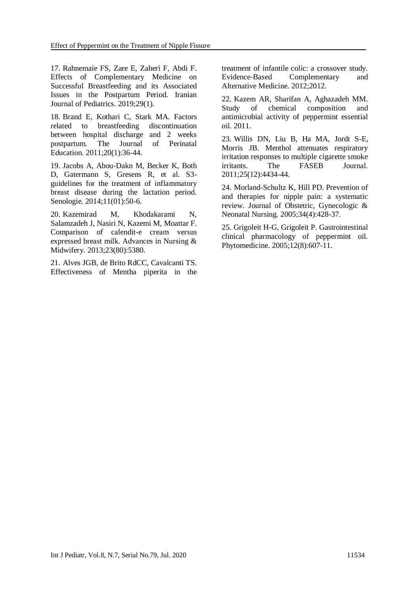17. Rahnemaie FS, Zare E, Zaheri F, Abdi F. Effects of Complementary Medicine on Successful Breastfeeding and its Associated Issues in the Postpartum Period. Iranian Journal of Pediatrics. 2019;29(1).

18. Brand E, Kothari C, Stark MA. Factors related to breastfeeding discontinuation between hospital discharge and 2 weeks postpartum. The Journal of Perinatal Education. 2011;20(1):36-44.

19. Jacobs A, Abou-Dakn M, Becker K, Both D, Gatermann S, Gresens R, et al. S3 guidelines for the treatment of inflammatory breast disease during the lactation period. Senologie. 2014;11(01):50-6.

20. Kazemirad M, Khodakarami N, Salamzadeh J, Nasiri N, Kazemi M, Moattar F. Comparison of calendit-e cream versus expressed breast milk. Advances in Nursing & Midwifery. 2013;23(80):5380.

21. Alves JGB, de Brito RdCC, Cavalcanti TS. Effectiveness of Mentha piperita in the treatment of infantile colic: a crossover study. Evidence-Based Complementary and Alternative Medicine. 2012;2012.

22. Kazem AR, Sharifan A, Aghazadeh MM. Study of chemical composition and antimicrobial activity of peppermint essential oil. 2011.

23. Willis DN, Liu B, Ha MA, Jordt S-E, Morris JB. Menthol attenuates respiratory irritation responses to multiple cigarette smoke irritants. The FASEB Journal. 2011;25(12):4434-44.

24. Morland-Schultz K, Hill PD. Prevention of and therapies for nipple pain: a systematic review. Journal of Obstetric, Gynecologic & Neonatal Nursing. 2005;34(4):428-37.

25. Grigoleit H-G, Grigoleit P. Gastrointestinal clinical pharmacology of peppermint oil. Phytomedicine. 2005;12(8):607-11.